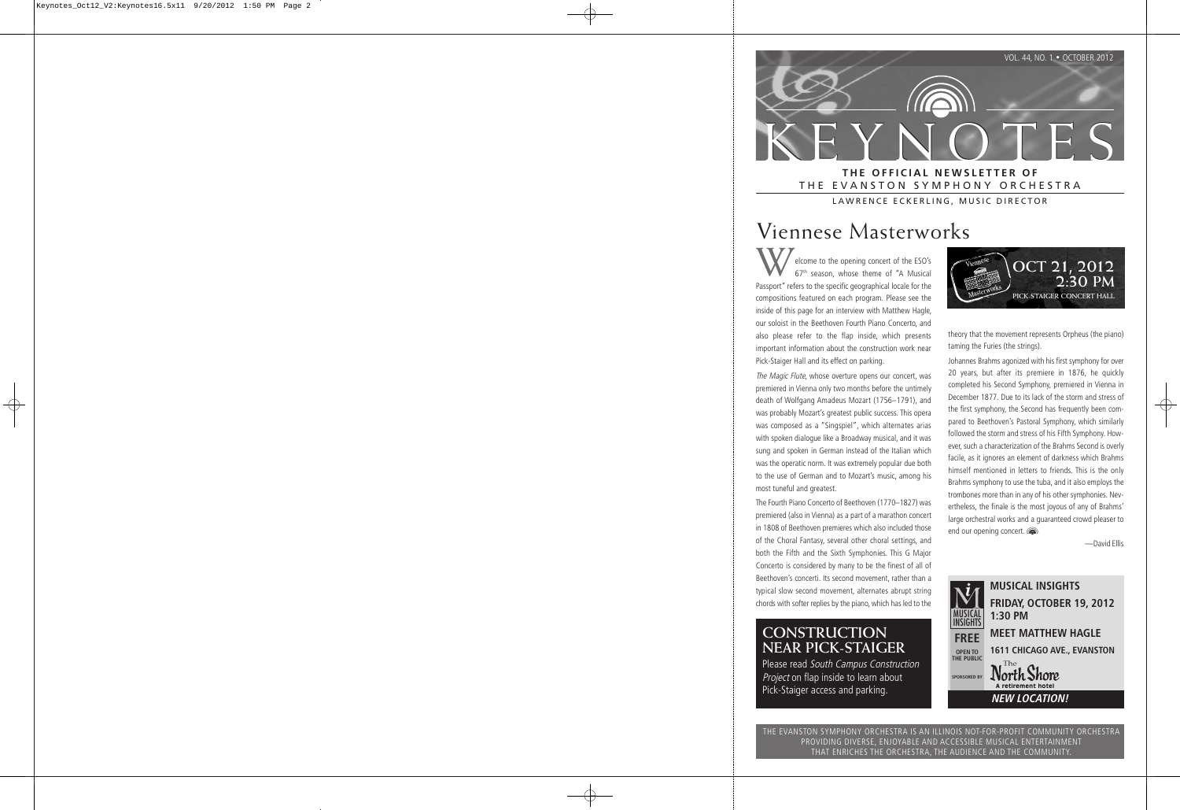

# THE EVANSTON SYMPHONY ORCHESTRA

LAWRENCE ECKERLING, MUSIC DIRECTOR

# Viennese Masterworks

elcome to the opening concert of the ESO's 67th season, whose theme of "A Musical Passport" refers to the specific geographical locale for the compositions featured on each program. Please see the inside of this page for an interview with Matthew Hagle, our soloist in the Beethoven Fourth Piano Concerto, and also please refer to the flap inside, which presents important information about the construction work near Pick-Staiger Hall and its effect on parking.

The Magic Flute, whose overture opens our concert, was premiered in Vienna only two months before the untimely death of Wolfgang Amadeus Mozart (1756–1791), and was probably Mozart's greatest public success. This opera was composed as a "Singspiel", which alternates arias with spoken dialogue like a Broadway musical, and it was sung and spoken in German instead of the Italian which was the operatic norm. It was extremely popular due both to the use of German and to Mozart's music, among his most tuneful and greatest.

The Fourth Piano Concerto of Beethoven (1770–1827) was premiered (also in Vienna) as a part of a marathon concert in 1808 of Beethoven premieres which also included those of the Choral Fantasy, several other choral settings, and both the Fifth and the Sixth Symphonies. This G Major Concerto is considered by many to be the finest of all of Beethoven's concerti. Its second movement, rather than a typical slow second movement, alternates abrupt string chords with softer replies by the piano, which has led to the

### **CONSTRUCTION NEAR PICK-STAIGER**

Please read South Campus Construction Project on flap inside to learn about Pick-Staiger access and parking.



theory that the movement represents Orpheus (the piano) taming the Furies (the strings).

Johannes Brahms agonized with his first symphony for over 20 years, but after its premiere in 1876, he quickly completed his Second Symphony, premiered in Vienna in December 1877. Due to its lack of the storm and stress of the first symphony, the Second has frequently been compared to Beethoven's Pastoral Symphony, which similarly followed the storm and stress of his Fifth Symphony. However, such a characterization of the Brahms Second is overly facile, as it ignores an element of darkness which Brahms himself mentioned in letters to friends. This is the only Brahms symphony to use the tuba, and it also employs the trombones more than in any of his other symphonies. Nevertheless, the finale is the most joyous of any of Brahms' large orchestral works and a guaranteed crowd pleaser to end our opening concert.

—David Ellis



THE EVANSTON SYMPHONY ORCHESTRA IS AN ILLINOIS NOT-FOR-PROFIT COMMUNITY ORCHESTRA PROVIDING DIVERSE, ENJOYABLE AND ACCESSIBLE MUSICAL ENTERTAINMENT THAT ENRICHES THE ORCHESTRA, THE AUDIENCE AND THE COMMUNITY.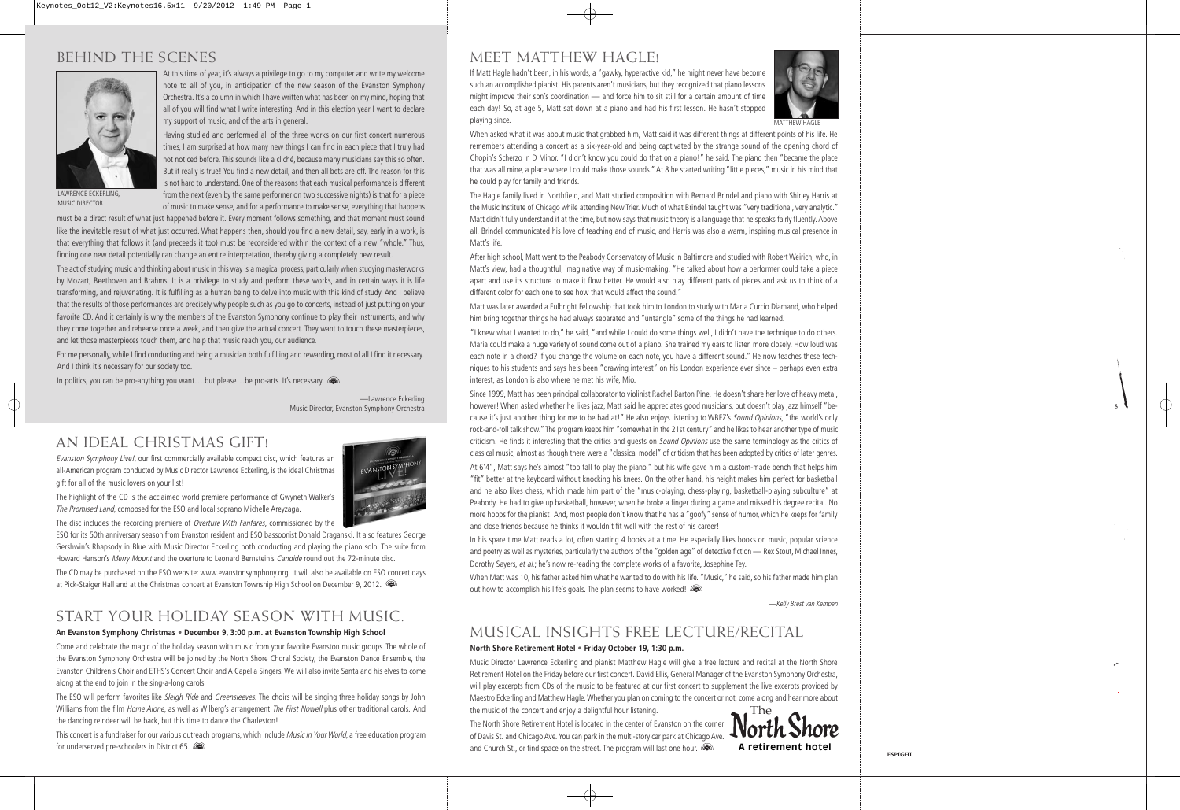### BEHIND THE SCENES



At this time of year, it's always a privilege to go to my computer and write my welcome note to all of you, in anticipation of the new season of the Evanston Symphony Orchestra. It's a column in which I have written what has been on my mind, hoping that all of you will find what I write interesting. And in this election year I want to declare my support of music, and of the arts in general.

Having studied and performed all of the three works on our first concert numerous times, I am surprised at how many new things I can find in each piece that I truly had not noticed before. This sounds like a cliché, because many musicians say this so often. But it really is true! You find a new detail, and then all bets are off. The reason for this is not hard to understand. One of the reasons that each musical performance is different from the next (even by the same performer on two successive nights) is that for a piece of music to make sense, and for a performance to make sense, everything that happens

LAWRENCE ECKERLING, MUSIC DIRECTOR

must be a direct result of what just happened before it. Every moment follows something, and that moment must sound like the inevitable result of what just occurred. What happens then, should you find a new detail, say, early in a work, is that everything that follows it (and preceeds it too) must be reconsidered within the context of a new "whole." Thus, finding one new detail potentially can change an entire interpretation, thereby giving a completely new result.

The act of studying music and thinking about music in this way is a magical process, particularly when studying masterworks by Mozart, Beethoven and Brahms. It is a privilege to study and perform these works, and in certain ways it is life transforming, and rejuvenating. It is fulfilling as a human being to delve into music with this kind of study. And I believe that the results of those performances are precisely why people such as you go to concerts, instead of just putting on your favorite CD. And it certainly is why the members of the Evanston Symphony continue to play their instruments, and why they come together and rehearse once a week, and then give the actual concert. They want to touch these masterpieces, and let those masterpieces touch them, and help that music reach you, our audience.

For me personally, while I find conducting and being a musician both fulfilling and rewarding, most of all I find it necessary. And I think it's necessary for our society too.

In politics, you can be pro-anything you want....but please...be pro-arts. It's necessary. ( $\blacksquare$ 

—Lawrence Eckerling Music Director, Evanston Symphony Orchestra

### AN IDEAL CHRISTMAS GIFT!

Evanston Symphony Live!, our first commercially available compact disc, which features an all-American program conducted by Music Director Lawrence Eckerling, is the ideal Christmas gift for all of the music lovers on your list!



The highlight of the CD is the acclaimed world premiere performance of Gwyneth Walker's The Promised Land, composed for the ESO and local soprano Michelle Areyzaga.

The disc includes the recording premiere of *Overture With Fanfares*, commissioned by the

ESO for its 50th anniversary season from Evanston resident and ESO bassoonist Donald Draganski. It also features George Gershwin's Rhapsody in Blue with Music Director Eckerling both conducting and playing the piano solo. The suite from Howard Hanson's Merry Mount and the overture to Leonard Bernstein's Candide round out the 72-minute disc.

The CD may be purchased on the ESO website: www.evanstonsymphony.org. It will also be available on ESO concert days at Pick-Staiger Hall and at the Christmas concert at Evanston Township High School on December 9, 2012.

## START YOUR HOLIDAY SEASON WITH MUSIC.

#### **An Evanston Symphony Christmas • December 9, 3:00 p.m. at Evanston Township High School**

Come and celebrate the magic of the holiday season with music from your favorite Evanston music groups. The whole of the Evanston Symphony Orchestra will be joined by the North Shore Choral Society, the Evanston Dance Ensemble, the Evanston Children's Choir and ETHS's Concert Choir and A Capella Singers. We will also invite Santa and his elves to come along at the end to join in the sing-a-long carols.

The ESO will perform favorites like Sleigh Ride and Greensleeves. The choirs will be singing three holiday songs by John Williams from the film Home Alone, as well as Wilberg's arrangement The First Nowell plus other traditional carols. And the dancing reindeer will be back, but this time to dance the Charleston!

This concert is a fundraiser for our various outreach programs, which include Music in Your World, a free education program for underserved pre-schoolers in District 65.

# MEET MATTHEW HAGLE!

If Matt Hagle hadn't been, in his words, a "gawky, hyperactive kid," he might never have become such an accomplished pianist. His parents aren't musicians, but they recognized that piano lessons might improve their son's coordination — and force him to sit still for a certain amount of time each day! So, at age 5, Matt sat down at a piano and had his first lesson. He hasn't stopped playing since.



When asked what it was about music that grabbed him, Matt said it was different things at different points of his life. He remembers attending a concert as a six-year-old and being captivated by the strange sound of the opening chord of Chopin's Scherzo in D Minor. "I didn't know you could do that on a piano!" he said. The piano then "became the place that was all mine, a place where I could make those sounds." At 8 he started writing "little pieces," music in his mind that he could play for family and friends.

The Hagle family lived in Northfield, and Matt studied composition with Bernard Brindel and piano with Shirley Harris at the Music Institute of Chicago while attending New Trier. Much of what Brindel taught was "very traditional, very analytic." Matt didn't fully understand it at the time, but now says that music theory is a language that he speaks fairly fluently. Above all, Brindel communicated his love of teaching and of music, and Harris was also a warm, inspiring musical presence in Matt's life.

After high school, Matt went to the Peabody Conservatory of Music in Baltimore and studied with Robert Weirich, who, in Matt's view, had a thoughtful, imaginative way of music-making. "He talked about how a performer could take a piece apart and use its structure to make it flow better. He would also play different parts of pieces and ask us to think of a different color for each one to see how that would affect the sound."

Matt was later awarded a Fulbright Fellowship that took him to London to study with Maria Curcio Diamand, who helped him bring together things he had always separated and "untangle" some of the things he had learned.

"I knew what I wanted to do," he said, "and while I could do some things well, I didn't have the technique to do others. Maria could make a huge variety of sound come out of a piano. She trained my ears to listen more closely. How loud was each note in a chord? If you change the volume on each note, you have a different sound." He now teaches these techniques to his students and says he's been "drawing interest" on his London experience ever since – perhaps even extra interest, as London is also where he met his wife, Mio.

Since 1999, Matt has been principal collaborator to violinist Rachel Barton Pine. He doesn't share her love of heavy metal, however! When asked whether he likes jazz, Matt said he appreciates good musicians, but doesn't play jazz himself "because it's just another thing for me to be bad at!" He also enjoys listening to WBEZ's Sound Opinions, "the world's only rock-and-roll talk show." The program keeps him "somewhat in the 21st century" and he likes to hear another type of music criticism. He finds it interesting that the critics and quests on Sound Opinions use the same terminology as the critics of classical music, almost as though there were a "classical model" of criticism that has been adopted by critics of later genres. At 6'4", Matt says he's almost "too tall to play the piano," but his wife gave him a custom-made bench that helps him "fit" better at the keyboard without knocking his knees. On the other hand, his height makes him perfect for basketball and he also likes chess, which made him part of the "music-playing, chess-playing, basketball-playing subculture" at

Peabody. He had to give up basketball, however, when he broke a finger during a game and missed his degree recital. No more hoops for the pianist! And, most people don't know that he has a "goofy" sense of humor, which he keeps for family and close friends because he thinks it wouldn't fit well with the rest of his career!

In his spare time Matt reads a lot, often starting 4 books at a time. He especially likes books on music, popular science and poetry as well as mysteries, particularly the authors of the "golden age" of detective fiction — Rex Stout, Michael Innes, Dorothy Sayers, et al.; he's now re-reading the complete works of a favorite, Josephine Tey.

When Matt was 10, his father asked him what he wanted to do with his life. "Music," he said, so his father made him plan out how to accomplish his life's goals. The plan seems to have worked!

—Kelly Brest van Kempen

### MUSICAL INSIGHTS FREE LECTURE/RECITAL

#### **North Shore Retirement Hotel • Friday October 19, 1:30 p.m.**

Music Director Lawrence Eckerling and pianist Matthew Hagle will give a free lecture and recital at the North Shore Retirement Hotel on the Friday before our first concert. David Ellis, General Manager of the Evanston Symphony Orchestra, will play excerpts from CDs of the music to be featured at our first concert to supplement the live excerpts provided by Maestro Eckerling and Matthew Hagle. Whether you plan on coming to the concert or not, come along and hear more about the music of the concert and enjoy a delightful hour listening.

The North Shore Retirement Hotel is located in the center of Evanston on the corner of Davis St. and Chicago Ave. You can park in the multi-story car park at Chicago Ave. and Church St., or find space on the street. The program will last one hour.  $\sqrt{2}$